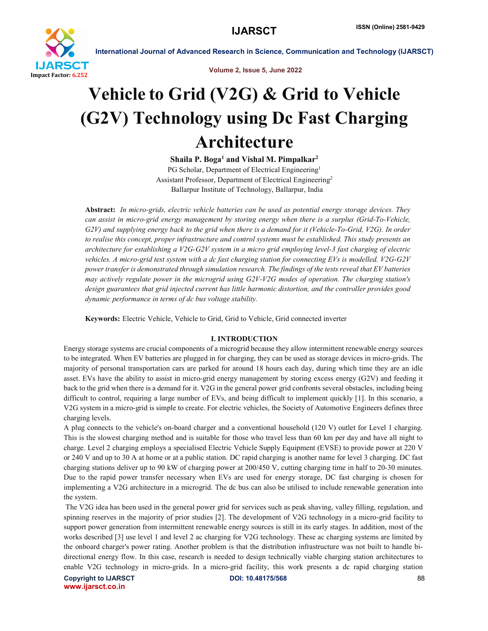

Volume 2, Issue 5, June 2022

# Vehicle to Grid (V2G) & Grid to Vehicle (G2V) Technology using Dc Fast Charging Architecture

Shaila P. Boga<sup>1</sup> and Vishal M. Pimpalkar<sup>2</sup>

PG Scholar, Department of Electrical Engineering<sup>1</sup> Assistant Professor, Department of Electrical Engineering2 Ballarpur Institute of Technology, Ballarpur, India

Abstract: *In micro-grids, electric vehicle batteries can be used as potential energy storage devices. They can assist in micro-grid energy management by storing energy when there is a surplus (Grid-To-Vehicle, G2V) and supplying energy back to the grid when there is a demand for it (Vehicle-To-Grid, V2G). In order to realise this concept, proper infrastructure and control systems must be established. This study presents an architecture for establishing a V2G-G2V system in a micro grid employing level-3 fast charging of electric vehicles. A micro-grid test system with a dc fast charging station for connecting EVs is modelled. V2G-G2V power transfer is demonstrated through simulation research. The findings of the tests reveal that EV batteries may actively regulate power in the microgrid using G2V-V2G modes of operation. The charging station's design guarantees that grid injected current has little harmonic distortion, and the controller provides good dynamic performance in terms of dc bus voltage stability.*

Keywords: Electric Vehicle, Vehicle to Grid, Grid to Vehicle, Grid connected inverter

# I. INTRODUCTION

Energy storage systems are crucial components of a microgrid because they allow intermittent renewable energy sources to be integrated. When EV batteries are plugged in for charging, they can be used as storage devices in micro-grids. The majority of personal transportation cars are parked for around 18 hours each day, during which time they are an idle asset. EVs have the ability to assist in micro-grid energy management by storing excess energy (G2V) and feeding it back to the grid when there is a demand for it. V2G in the general power grid confronts several obstacles, including being difficult to control, requiring a large number of EVs, and being difficult to implement quickly [1]. In this scenario, a V2G system in a micro-grid is simple to create. For electric vehicles, the Society of Automotive Engineers defines three charging levels.

A plug connects to the vehicle's on-board charger and a conventional household (120 V) outlet for Level 1 charging. This is the slowest charging method and is suitable for those who travel less than 60 km per day and have all night to charge. Level 2 charging employs a specialised Electric Vehicle Supply Equipment (EVSE) to provide power at 220 V or 240 V and up to 30 A at home or at a public station. DC rapid charging is another name for level 3 charging. DC fast charging stations deliver up to 90 kW of charging power at 200/450 V, cutting charging time in half to 20-30 minutes. Due to the rapid power transfer necessary when EVs are used for energy storage, DC fast charging is chosen for implementing a V2G architecture in a microgrid. The dc bus can also be utilised to include renewable generation into the system.

The V2G idea has been used in the general power grid for services such as peak shaving, valley filling, regulation, and spinning reserves in the majority of prior studies [2]. The development of V2G technology in a micro-grid facility to support power generation from intermittent renewable energy sources is still in its early stages. In addition, most of the works described [3] use level 1 and level 2 ac charging for V2G technology. These ac charging systems are limited by the onboard charger's power rating. Another problem is that the distribution infrastructure was not built to handle bidirectional energy flow. In this case, research is needed to design technically viable charging station architectures to enable V2G technology in micro-grids. In a micro-grid facility, this work presents a dc rapid charging station

Copyright to IJARSCT **DOI: 10.48175/568** 88 www.ijarsct.co.in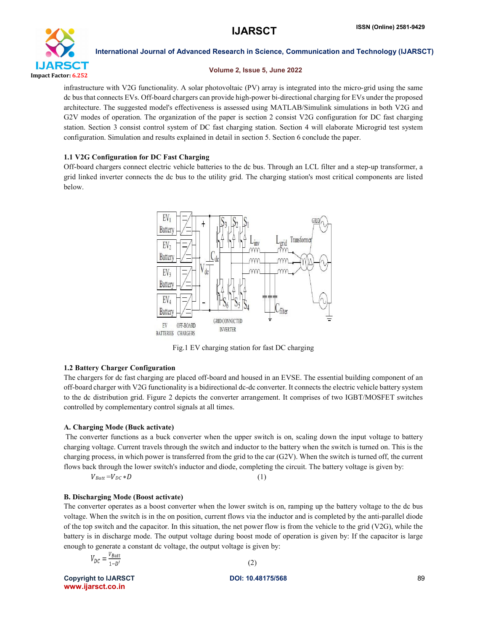

# Volume 2, Issue 5, June 2022

infrastructure with V2G functionality. A solar photovoltaic (PV) array is integrated into the micro-grid using the same dc bus that connects EVs. Off-board chargers can provide high-power bi-directional charging for EVs under the proposed architecture. The suggested model's effectiveness is assessed using MATLAB/Simulink simulations in both V2G and G2V modes of operation. The organization of the paper is section 2 consist V2G configuration for DC fast charging station. Section 3 consist control system of DC fast charging station. Section 4 will elaborate Microgrid test system configuration. Simulation and results explained in detail in section 5. Section 6 conclude the paper.

# 1.1 V2G Configuration for DC Fast Charging

Off-board chargers connect electric vehicle batteries to the dc bus. Through an LCL filter and a step-up transformer, a grid linked inverter connects the dc bus to the utility grid. The charging station's most critical components are listed below.



Fig.1 EV charging station for fast DC charging

# 1.2 Battery Charger Configuration

The chargers for dc fast charging are placed off-board and housed in an EVSE. The essential building component of an off-board charger with V2G functionality is a bidirectional dc-dc converter. It connects the electric vehicle battery system to the dc distribution grid. Figure 2 depicts the converter arrangement. It comprises of two IGBT/MOSFET switches controlled by complementary control signals at all times.

# A. Charging Mode (Buck activate)

The converter functions as a buck converter when the upper switch is on, scaling down the input voltage to battery charging voltage. Current travels through the switch and inductor to the battery when the switch is turned on. This is the charging process, in which power is transferred from the grid to the car (G2V). When the switch is turned off, the current flows back through the lower switch's inductor and diode, completing the circuit. The battery voltage is given by:

$$
V_{Batt} = V_{DC} * D \tag{1}
$$

# B. Discharging Mode (Boost activate)

The converter operates as a boost converter when the lower switch is on, ramping up the battery voltage to the dc bus voltage. When the switch is in the on position, current flows via the inductor and is completed by the anti-parallel diode of the top switch and the capacitor. In this situation, the net power flow is from the vehicle to the grid (V2G), while the battery is in discharge mode. The output voltage during boost mode of operation is given by: If the capacitor is large enough to generate a constant dc voltage, the output voltage is given by:

| $V_{DC} = \frac{V_{Batt}}{1 - D'}$ |     |
|------------------------------------|-----|
|                                    | (2) |

Copyright to IJARSCT **DOI: 10.48175/568** 89 www.ijarsct.co.in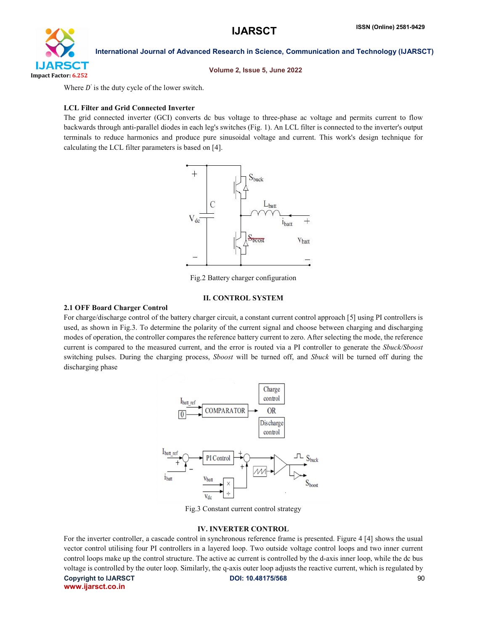

Volume 2, Issue 5, June 2022

Where  $D'$  is the duty cycle of the lower switch.

# LCL Filter and Grid Connected Inverter

The grid connected inverter (GCI) converts dc bus voltage to three-phase ac voltage and permits current to flow backwards through anti-parallel diodes in each leg's switches (Fig. 1). An LCL filter is connected to the inverter's output terminals to reduce harmonics and produce pure sinusoidal voltage and current. This work's design technique for calculating the LCL filter parameters is based on [4].



Fig.2 Battery charger configuration

# II. CONTROL SYSTEM

# 2.1 OFF Board Charger Control

For charge/discharge control of the battery charger circuit, a constant current control approach [5] using PI controllers is used, as shown in Fig.3. To determine the polarity of the current signal and choose between charging and discharging modes of operation, the controller compares the reference battery current to zero. After selecting the mode, the reference current is compared to the measured current, and the error is routed via a PI controller to generate the *Sbuck/Sboost* switching pulses. During the charging process, *Sboost* will be turned off, and *Sbuck* will be turned off during the discharging phase



Fig.3 Constant current control strategy

# IV. INVERTER CONTROL

Copyright to IJARSCT **DOI: 10.48175/568** 90 For the inverter controller, a cascade control in synchronous reference frame is presented. Figure 4 [4] shows the usual vector control utilising four PI controllers in a layered loop. Two outside voltage control loops and two inner current control loops make up the control structure. The active ac current is controlled by the d-axis inner loop, while the dc bus voltage is controlled by the outer loop. Similarly, the q-axis outer loop adjusts the reactive current, which is regulated by

www.ijarsct.co.in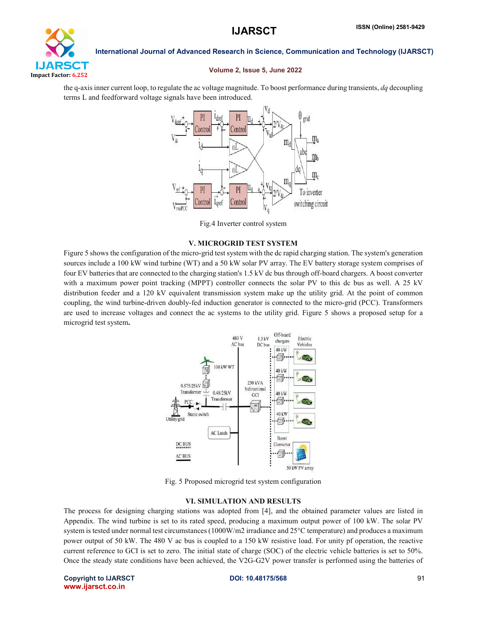

### Volume 2, Issue 5, June 2022

the q-axis inner current loop, to regulate the ac voltage magnitude. To boost performance during transients, *dq* decoupling terms L and feedforward voltage signals have been introduced.



Fig.4 Inverter control system

### V. MICROGRID TEST SYSTEM

Figure 5 shows the configuration of the micro-grid test system with the dc rapid charging station. The system's generation sources include a 100 kW wind turbine (WT) and a 50 kW solar PV array. The EV battery storage system comprises of four EV batteries that are connected to the charging station's 1.5 kV dc bus through off-board chargers. A boost converter with a maximum power point tracking (MPPT) controller connects the solar PV to this dc bus as well. A 25 kV distribution feeder and a 120 kV equivalent transmission system make up the utility grid. At the point of common coupling, the wind turbine-driven doubly-fed induction generator is connected to the micro-grid (PCC). Transformers are used to increase voltages and connect the ac systems to the utility grid. Figure 5 shows a proposed setup for a microgrid test system.



Fig. 5 Proposed microgrid test system configuration

### VI. SIMULATION AND RESULTS

The process for designing charging stations was adopted from [4], and the obtained parameter values are listed in Appendix. The wind turbine is set to its rated speed, producing a maximum output power of 100 kW. The solar PV system is tested under normal test circumstances (1000W/m2 irradiance and 25°C temperature) and produces a maximum power output of 50 kW. The 480 V ac bus is coupled to a 150 kW resistive load. For unity pf operation, the reactive current reference to GCI is set to zero. The initial state of charge (SOC) of the electric vehicle batteries is set to 50%. Once the steady state conditions have been achieved, the V2G-G2V power transfer is performed using the batteries of

Copyright to IJARSCT **DOI: 10.48175/568** 91 www.ijarsct.co.in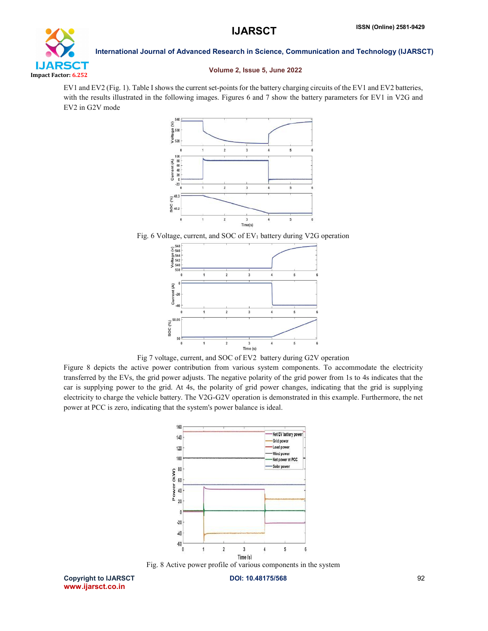

### Volume 2, Issue 5, June 2022

EV1 and EV2 (Fig. 1). Table I shows the current set-points for the battery charging circuits of the EV1 and EV2 batteries, with the results illustrated in the following images. Figures 6 and 7 show the battery parameters for EV1 in V2G and EV2 in G2V mode



Fig. 6 Voltage, current, and SOC of EV<sub>1</sub> battery during V2G operation



Fig 7 voltage, current, and SOC of EV2 battery during G2V operation

Figure 8 depicts the active power contribution from various system components. To accommodate the electricity transferred by the EVs, the grid power adjusts. The negative polarity of the grid power from 1s to 4s indicates that the car is supplying power to the grid. At 4s, the polarity of grid power changes, indicating that the grid is supplying electricity to charge the vehicle battery. The V2G-G2V operation is demonstrated in this example. Furthermore, the net power at PCC is zero, indicating that the system's power balance is ideal.



Fig. 8 Active power profile of various components in the system

Copyright to IJARSCT **DOI: 10.48175/568** 92 www.ijarsct.co.in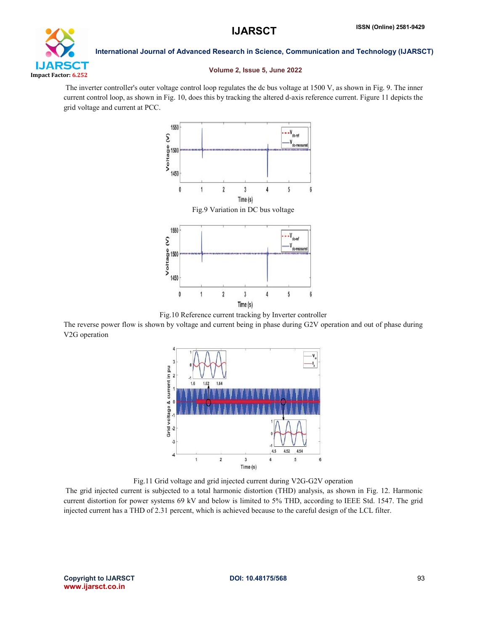

# Volume 2, Issue 5, June 2022

The inverter controller's outer voltage control loop regulates the dc bus voltage at 1500 V, as shown in Fig. 9. The inner current control loop, as shown in Fig. 10, does this by tracking the altered d-axis reference current. Figure 11 depicts the grid voltage and current at PCC.



Fig.10 Reference current tracking by Inverter controller

The reverse power flow is shown by voltage and current being in phase during G2V operation and out of phase during V2G operation



Fig.11 Grid voltage and grid injected current during V2G-G2V operation

The grid injected current is subjected to a total harmonic distortion (THD) analysis, as shown in Fig. 12. Harmonic current distortion for power systems 69 kV and below is limited to 5% THD, according to IEEE Std. 1547. The grid injected current has a THD of 2.31 percent, which is achieved because to the careful design of the LCL filter.